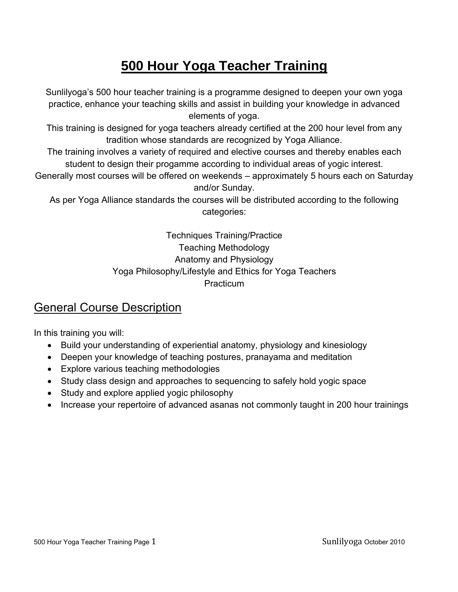# **500 Hour Yoga Teacher Training**

Sunlilyoga's 500 hour teacher training is a programme designed to deepen your own yoga practice, enhance your teaching skills and assist in building your knowledge in advanced elements of yoga.

This training is designed for yoga teachers already certified at the 200 hour level from any tradition whose standards are recognized by Yoga Alliance.

The training involves a variety of required and elective courses and thereby enables each student to design their progamme according to individual areas of yogic interest.

Generally most courses will be offered on weekends – approximately 5 hours each on Saturday and/or Sunday.

As per Yoga Alliance standards the courses will be distributed according to the following categories:

> Techniques Training/Practice Teaching Methodology Anatomy and Physiology Yoga Philosophy/Lifestyle and Ethics for Yoga Teachers **Practicum**

### General Course Description

In this training you will:

- Build your understanding of experiential anatomy, physiology and kinesiology
- Deepen your knowledge of teaching postures, pranayama and meditation
- Explore various teaching methodologies
- Study class design and approaches to sequencing to safely hold yogic space
- Study and explore applied yogic philosophy
- Increase your repertoire of advanced asanas not commonly taught in 200 hour trainings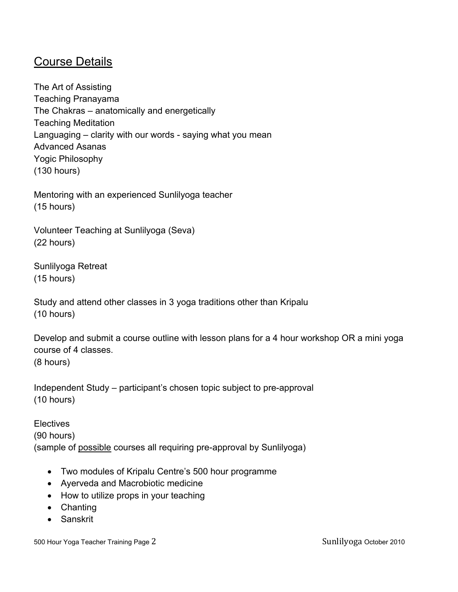#### Course Details

The Art of Assisting Teaching Pranayama The Chakras – anatomically and energetically Teaching Meditation Languaging – clarity with our words - saying what you mean Advanced Asanas Yogic Philosophy (130 hours)

Mentoring with an experienced Sunlilyoga teacher (15 hours)

Volunteer Teaching at Sunlilyoga (Seva) (22 hours)

Sunlilyoga Retreat (15 hours)

Study and attend other classes in 3 yoga traditions other than Kripalu (10 hours)

Develop and submit a course outline with lesson plans for a 4 hour workshop OR a mini yoga course of 4 classes. (8 hours)

Independent Study – participant's chosen topic subject to pre-approval (10 hours)

**Electives** (90 hours) (sample of possible courses all requiring pre-approval by Sunlilyoga)

- Two modules of Kripalu Centre's 500 hour programme
- Ayerveda and Macrobiotic medicine
- How to utilize props in your teaching
- Chanting
- Sanskrit

500 Hour Yoga Teacher Training Page 2 Sunlilyoga October 2010